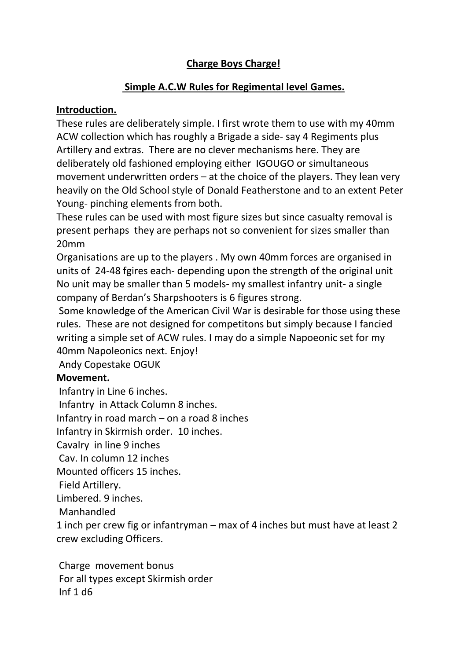### **Charge Boys Charge!**

#### **Simple A.C.W Rules for Regimental level Games.**

#### **Introduction.**

These rules are deliberately simple. I first wrote them to use with my 40mm ACW collection which has roughly a Brigade a side- say 4 Regiments plus Artillery and extras. There are no clever mechanisms here. They are deliberately old fashioned employing either IGOUGO or simultaneous movement underwritten orders – at the choice of the players. They lean very heavily on the Old School style of Donald Featherstone and to an extent Peter Young- pinching elements from both.

These rules can be used with most figure sizes but since casualty removal is present perhaps they are perhaps not so convenient for sizes smaller than 20mm

Organisations are up to the players . My own 40mm forces are organised in units of 24-48 fgires each- depending upon the strength of the original unit No unit may be smaller than 5 models- my smallest infantry unit- a single company of Berdan's Sharpshooters is 6 figures strong.

Some knowledge of the American Civil War is desirable for those using these rules. These are not designed for competitons but simply because I fancied writing a simple set of ACW rules. I may do a simple Napoeonic set for my 40mm Napoleonics next. Enjoy!

Andy Copestake OGUK

#### **Movement.**

Infantry in Line 6 inches. Infantry in Attack Column 8 inches. Infantry in road march – on a road 8 inches Infantry in Skirmish order. 10 inches. Cavalry in line 9 inches Cav. In column 12 inches Mounted officers 15 inches. Field Artillery. Limbered. 9 inches. Manhandled 1 inch per crew fig or infantryman – max of 4 inches but must have at least 2 crew excluding Officers.

Charge movement bonus For all types except Skirmish order Inf 1 d6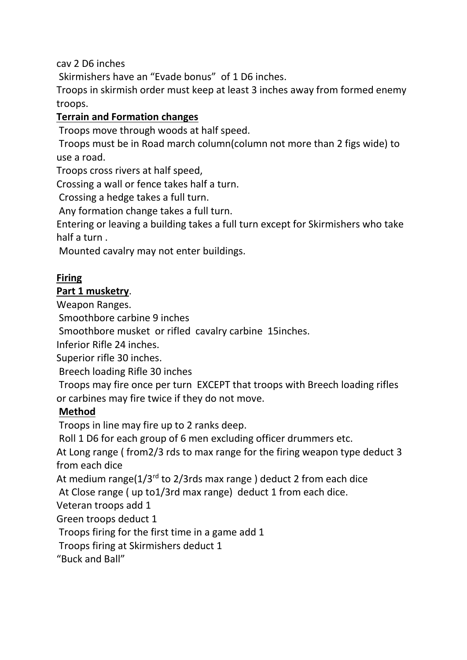cav 2 D6 inches

Skirmishers have an "Evade bonus" of 1 D6 inches.

Troops in skirmish order must keep at least 3 inches away from formed enemy troops.

# **Terrain and Formation changes**

Troops move through woods at half speed.

Troops must be in Road march column(column not more than 2 figs wide) to use a road.

Troops cross rivers at half speed,

Crossing a wall or fence takes half a turn.

Crossing a hedge takes a full turn.

Any formation change takes a full turn.

Entering or leaving a building takes a full turn except for Skirmishers who take half a turn .

Mounted cavalry may not enter buildings.

### **Firing**

### **Part 1 musketry**.

Weapon Ranges.

Smoothbore carbine 9 inches

Smoothbore musket or rifled cavalry carbine 15inches.

Inferior Rifle 24 inches.

Superior rifle 30 inches.

Breech loading Rifle 30 inches

Troops may fire once per turn EXCEPT that troops with Breech loading rifles or carbines may fire twice if they do not move.

# **Method**

Troops in line may fire up to 2 ranks deep.

Roll 1 D6 for each group of 6 men excluding officer drummers etc.

At Long range ( from2/3 rds to max range for the firing weapon type deduct 3 from each dice

At medium range( $1/3^{rd}$  to 2/3rds max range) deduct 2 from each dice At Close range ( up to1/3rd max range) deduct 1 from each dice.

Veteran troops add 1

Green troops deduct 1

Troops firing for the first time in a game add 1

Troops firing at Skirmishers deduct 1

"Buck and Ball"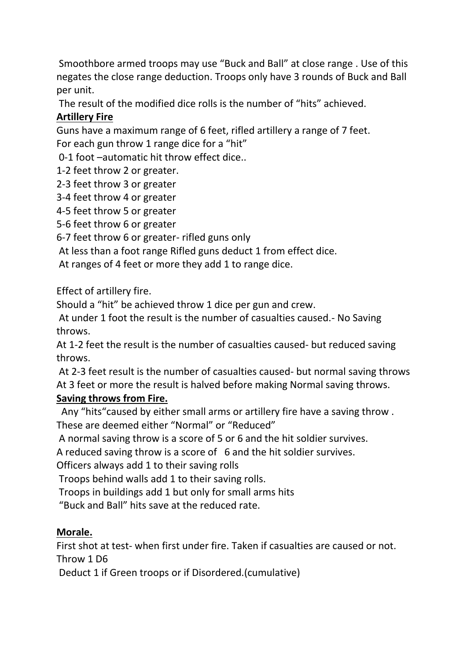Smoothbore armed troops may use "Buck and Ball" at close range . Use of this negates the close range deduction. Troops only have 3 rounds of Buck and Ball per unit.

The result of the modified dice rolls is the number of "hits" achieved.

# **Artillery Fire**

Guns have a maximum range of 6 feet, rifled artillery a range of 7 feet. For each gun throw 1 range dice for a "hit"

0-1 foot –automatic hit throw effect dice..

1-2 feet throw 2 or greater.

2-3 feet throw 3 or greater

3-4 feet throw 4 or greater

4-5 feet throw 5 or greater

5-6 feet throw 6 or greater

6-7 feet throw 6 or greater- rifled guns only

At less than a foot range Rifled guns deduct 1 from effect dice.

At ranges of 4 feet or more they add 1 to range dice.

Effect of artillery fire.

Should a "hit" be achieved throw 1 dice per gun and crew.

At under 1 foot the result is the number of casualties caused.- No Saving throws.

At 1-2 feet the result is the number of casualties caused- but reduced saving throws.

At 2-3 feet result is the number of casualties caused- but normal saving throws At 3 feet or more the result is halved before making Normal saving throws.

# **Saving throws from Fire.**

 Any "hits"caused by either small arms or artillery fire have a saving throw . These are deemed either "Normal" or "Reduced"

A normal saving throw is a score of 5 or 6 and the hit soldier survives.

A reduced saving throw is a score of 6 and the hit soldier survives.

Officers always add 1 to their saving rolls

Troops behind walls add 1 to their saving rolls.

Troops in buildings add 1 but only for small arms hits

"Buck and Ball" hits save at the reduced rate.

# **Morale.**

First shot at test- when first under fire. Taken if casualties are caused or not. Throw 1 D6

Deduct 1 if Green troops or if Disordered.(cumulative)